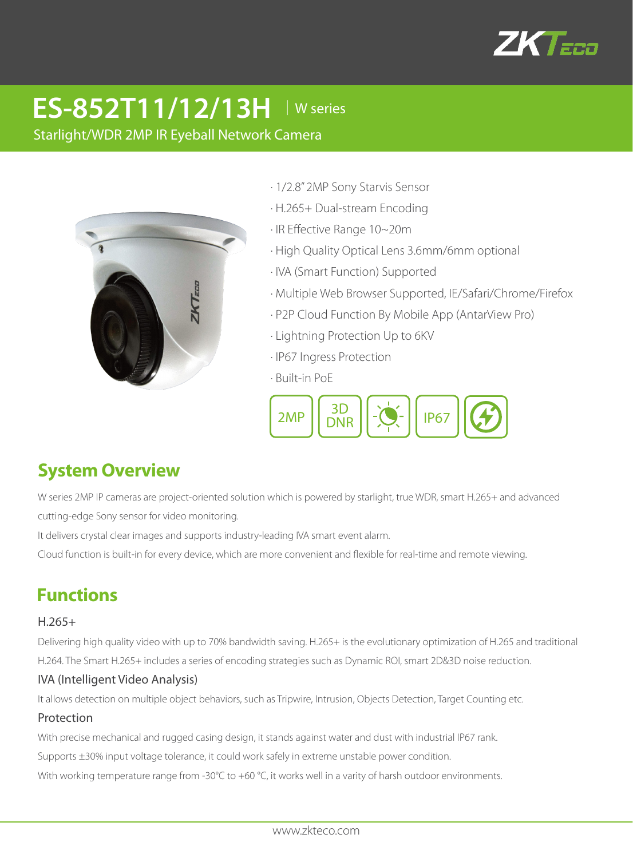

# **ES-852T11/12/13H** │W series

Starlight/WDR 2MP IR Eyeball Network Camera



- · 1/2.8" 2MP Sony Starvis Sensor
- · H.265+ Dual-stream Encoding
- · IR Effective Range 10~20m
- · High Quality Optical Lens 3.6mm/6mm optional
- · IVA (Smart Function) Supported
- · Multiple Web Browser Supported, IE/Safari/Chrome/Firefox
- · P2P Cloud Function By Mobile App (AntarView Pro)
- · Lightning Protection Up to 6KV
- · IP67 Ingress Protection
- · Built-in PoE



# **System Overview**

W series 2MP IP cameras are project-oriented solution which is powered by starlight, true WDR, smart H.265+ and advanced cutting-edge Sony sensor for video monitoring.

It delivers crystal clear images and supports industry-leading IVA smart event alarm.

Cloud function is built-in for every device, which are more convenient and flexible for real-time and remote viewing.

# **Functions**

#### H.265+

Delivering high quality video with up to 70% bandwidth saving. H.265+ is the evolutionary optimization of H.265 and traditional H.264. The Smart H.265+ includes a series of encoding strategies such as Dynamic ROI, smart 2D&3D noise reduction.

#### IVA (Intelligent Video Analysis)

It allows detection on multiple object behaviors, such as Tripwire, Intrusion, Objects Detection, Target Counting etc.

#### Protection

With precise mechanical and rugged casing design, it stands against water and dust with industrial IP67 rank.

Supports ±30% input voltage tolerance, it could work safely in extreme unstable power condition.

With working temperature range from -30°C to +60 °C, it works well in a varity of harsh outdoor environments.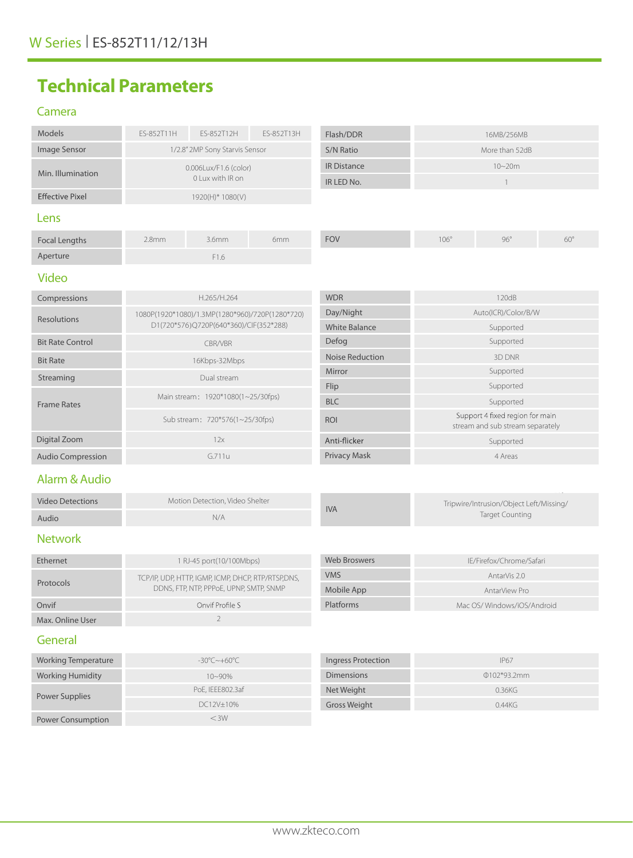# **Technical Parameters**

### Camera

| Models                   | ES-852T11H                                                                                | ES-852T12H                                         | ES-852T13H | Flash/DDR                                                         | 16MB/256MB                                                          |                            |            |
|--------------------------|-------------------------------------------------------------------------------------------|----------------------------------------------------|------------|-------------------------------------------------------------------|---------------------------------------------------------------------|----------------------------|------------|
| Image Sensor             | 1/2.8" 2MP Sony Starvis Sensor                                                            |                                                    |            | S/N Ratio                                                         | More than 52dB                                                      |                            |            |
| Min. Illumination        | 0.006Lux/F1.6 (color)<br>0 Lux with IR on                                                 |                                                    |            | <b>IR Distance</b>                                                | $10 - 20m$                                                          |                            |            |
|                          |                                                                                           |                                                    |            | IR LED No.                                                        | $\mathbf{1}$                                                        |                            |            |
| <b>Effective Pixel</b>   | 1920(H)* 1080(V)                                                                          |                                                    |            |                                                                   |                                                                     |                            |            |
| Lens                     |                                                                                           |                                                    |            |                                                                   |                                                                     |                            |            |
| <b>Focal Lengths</b>     | 2.8 <sub>mm</sub>                                                                         | 3.6mm                                              | 6mm        | <b>FOV</b>                                                        | $106^\circ$                                                         | $96^\circ$                 | $60^\circ$ |
| Aperture                 |                                                                                           | F1.6                                               |            |                                                                   |                                                                     |                            |            |
| <b>Video</b>             |                                                                                           |                                                    |            |                                                                   |                                                                     |                            |            |
| Compressions             | H.265/H.264                                                                               |                                                    |            | <b>WDR</b>                                                        | 120dB                                                               |                            |            |
| <b>Resolutions</b>       | 1080P(1920*1080)/1.3MP(1280*960)/720P(1280*720)<br>D1(720*576)Q720P(640*360)/CIF(352*288) |                                                    |            | Day/Night                                                         | Auto(ICR)/Color/B/W                                                 |                            |            |
|                          |                                                                                           |                                                    |            | <b>White Balance</b>                                              | Supported                                                           |                            |            |
| <b>Bit Rate Control</b>  | CBR/VBR                                                                                   |                                                    |            | Defog                                                             | Supported                                                           |                            |            |
| <b>Bit Rate</b>          | 16Kbps-32Mbps                                                                             |                                                    |            | <b>Noise Reduction</b>                                            | 3D DNR                                                              |                            |            |
| Streaming                | Dual stream                                                                               |                                                    |            | Mirror                                                            | Supported                                                           |                            |            |
|                          | Main stream: 1920*1080(1~25/30fps)                                                        |                                                    |            | Flip                                                              | Supported                                                           |                            |            |
| <b>Frame Rates</b>       |                                                                                           |                                                    |            | <b>BLC</b>                                                        | Supported                                                           |                            |            |
|                          | Sub stream: 720*576(1~25/30fps)                                                           |                                                    |            | <b>ROI</b>                                                        | Support 4 fixed region for main<br>stream and sub stream separately |                            |            |
| Digital Zoom             | 12x                                                                                       |                                                    |            | Anti-flicker                                                      | Supported                                                           |                            |            |
| <b>Audio Compression</b> | G.711u                                                                                    |                                                    |            | <b>Privacy Mask</b>                                               | 4 Areas                                                             |                            |            |
| Alarm & Audio            |                                                                                           |                                                    |            |                                                                   |                                                                     |                            |            |
| <b>Video Detections</b>  | Motion Detection, Video Shelter<br>N/A                                                    |                                                    | <b>IVA</b> | Tripwire/Intrusion/Object Left/Missing/<br><b>Target Counting</b> |                                                                     |                            |            |
| Audio                    |                                                                                           |                                                    |            |                                                                   |                                                                     |                            |            |
| <b>Network</b>           |                                                                                           |                                                    |            |                                                                   |                                                                     |                            |            |
| Ethernet                 | 1 RJ-45 port(10/100Mbps)                                                                  |                                                    |            | <b>Web Broswers</b>                                               | IE/Firefox/Chrome/Safari                                            |                            |            |
|                          |                                                                                           | TCP/IP, UDP, HTTP, IGMP, ICMP, DHCP, RTP/RTSP,DNS, |            |                                                                   | AntarVis 2.0                                                        |                            |            |
| Protocols                | DDNS, FTP, NTP, PPPOE, UPNP, SMTP, SNMP                                                   |                                                    |            | Mobile App                                                        | AntarView Pro                                                       |                            |            |
| Onvif                    | Onvif Profile S                                                                           |                                                    |            | Platforms                                                         |                                                                     | Mac OS/Windows/iOS/Android |            |
| Max. Online User         |                                                                                           | $\overline{2}$                                     |            |                                                                   |                                                                     |                            |            |
| General                  |                                                                                           |                                                    |            |                                                                   |                                                                     |                            |            |
| Warking Tamparatura      | $200C + 600C$                                                                             |                                                    |            | Ingrace Drotoction                                                |                                                                     | IDCT                       |            |

| Working Temperature      | -30°C~+60°C      | Ingress Protection | <b>IP67</b>   |
|--------------------------|------------------|--------------------|---------------|
| <b>Working Humidity</b>  | $10 - 90\%$      | <b>Dimensions</b>  | $0102*93.2mm$ |
| Power Supplies           | PoE, IEEE802.3af | Net Weight         | 0.36KG        |
|                          | DC12V±10%        | Gross Weight       | 0.44KG        |
| <b>Power Consumption</b> | $<$ 3W           |                    |               |